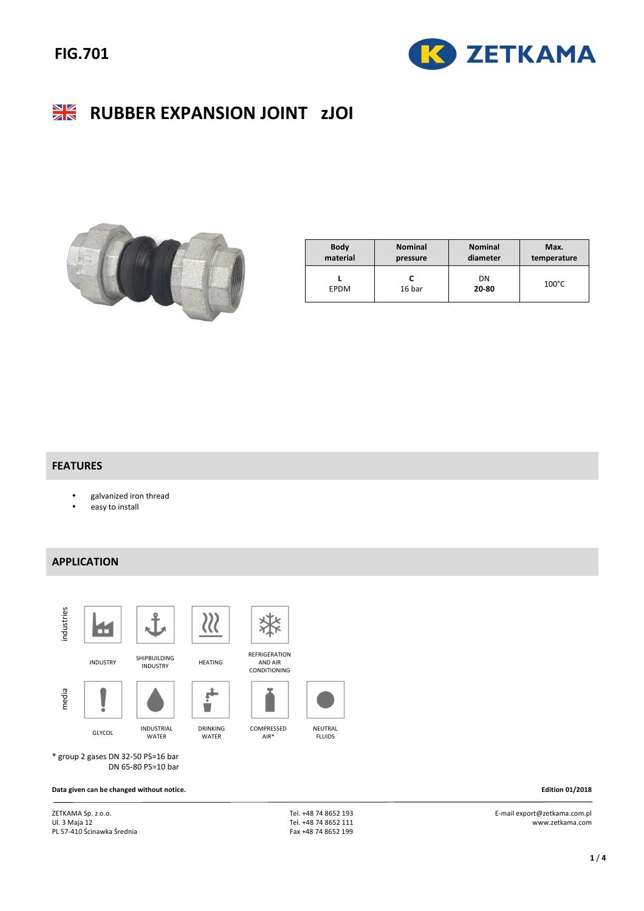# **FIG.701**



#### $\frac{\Delta V}{\Delta N}$ **RUBBER EXPANSION JOINT zJOI**



| <b>Body</b> | <b>Nominal</b> | <b>Nominal</b> | Max.            |  |
|-------------|----------------|----------------|-----------------|--|
| material    | pressure       | diameter       | temperature     |  |
| <b>EPDM</b> | 16 bar         | DN<br>20-80    | $100^{\circ}$ C |  |

#### **FEATURES**

- galvanized iron thread
- easy to install

### **APPLICATION**



GLYCOL INDUSTRIAL WATER

DRINKING WATER



REFRIGERATION AND AIR CONDITIONING

COMPRESSED AIR\*





NEUTRAL FLUIDS

\* group 2 gases DN 32-50 PS=16 bar DN 65-80 PS=10 bar

**Data given can be changed without notice. Edition 01/2018** 

ZETKAMA Sp. z o.o. Ul. 3 Maja 12 PL 57-410 Ścinawka Średnia  Tel. +48 74 8652 193 Tel. +48 74 8652 111 Fax +48 74 8652 199

 E-mail export@zetkama.com.pl www.zetkama.com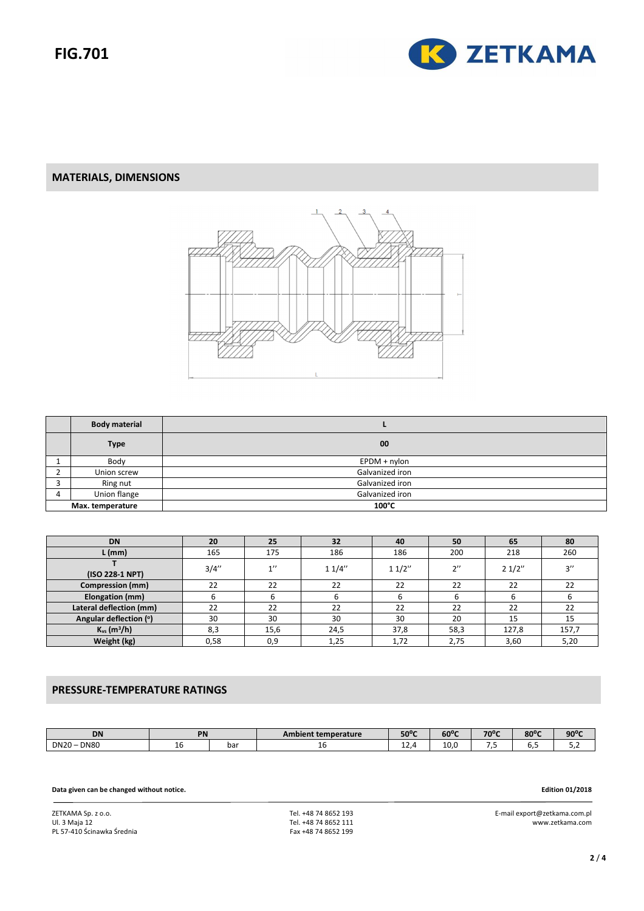

### **MATERIALS, DIMENSIONS**



|                  | <b>Body material</b> |                 |
|------------------|----------------------|-----------------|
|                  | <b>Type</b>          | 00              |
|                  | Body                 | $E$ PDM + nylon |
|                  | Union screw          | Galvanized iron |
|                  | Ring nut             | Galvanized iron |
| 4                | Union flange         | Galvanized iron |
| Max. temperature |                      | 100°C           |

| <b>DN</b>                    | 20    | 25   | 32    | 40    | 50       | 65    | 80    |
|------------------------------|-------|------|-------|-------|----------|-------|-------|
| $L$ (mm)                     | 165   | 175  | 186   | 186   | 200      | 218   | 260   |
| (ISO 228-1 NPT)              | 3/4'' | 1''  | 11/4" | 11/2" | $\gamma$ | 21/2" | 2''   |
| <b>Compression (mm)</b>      | 22    | 22   | 22    | 22    | 22       | 22    | 22    |
| Elongation (mm)              | ь     | ь    |       | b     |          |       |       |
| Lateral deflection (mm)      | 22    | 22   | 22    | 22    | 22       | 22    | 22    |
| Angular deflection (°)       | 30    | 30   | 30    | 30    | 20       | 15    | 15    |
| $K_{vs}$ (m <sup>3</sup> /h) | 8,3   | 15,6 | 24,5  | 37,8  | 58,3     | 127,8 | 157,7 |
| Weight (kg)                  | 0,58  | 0,9  | 1,25  | 1,72  | 2,75     | 3,60  | 5,20  |

## **PRESSURE-TEMPERATURE RATINGS**

| <b>DN</b>                                              | PN |     | Ambient temperature | $50^{\circ}$ C                      | $60^{\circ}$ C | 70°C          | $80^{\circ}$ C | $90^{\circ}$ C |
|--------------------------------------------------------|----|-----|---------------------|-------------------------------------|----------------|---------------|----------------|----------------|
| <b>DN80</b><br><b>DN20</b><br>$\overline{\phantom{a}}$ | ᅩ  | bar | ∸                   | $\overline{\phantom{0}}$<br><b></b> | 10.0           | - -<br>$\sim$ | <b></b>        | ، ب            |

**Data given can be changed without notice. Edition 01/2018** 

ZETKAMA Sp. z o.o. Ul. 3 Maja 12 PL 57-410 Ścinawka Średnia  Tel. +48 74 8652 193 Tel. +48 74 8652 111 Fax +48 74 8652 199

E-mail export@zetkama.com.pl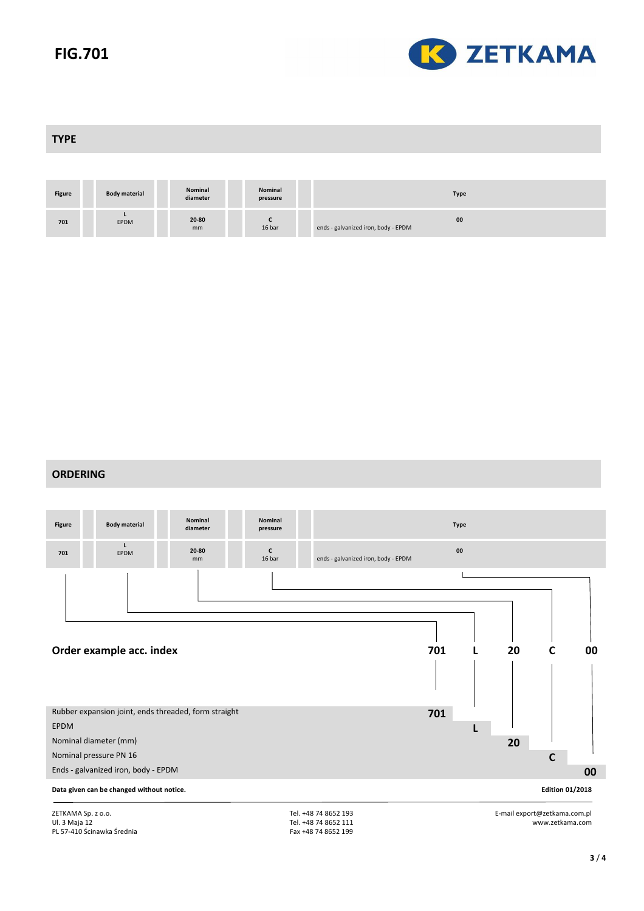# **FIG.701**



**TYPE** 

| <b>Figure</b> | <b>Body material</b> | Nominal<br>diameter | Nominal<br>pressure | <b>Type</b>                               |
|---------------|----------------------|---------------------|---------------------|-------------------------------------------|
| 701           | EPDM                 | 20-80<br>mm         | 16 bar              | 00<br>ends - galvanized iron, body - EPDM |

#### **ORDERING**



Ul. 3 Maja 12 PL 57-410 Ścinawka Średnia Tel. +48 74 8652 111 Fax +48 74 8652 199 www.zetkama.com